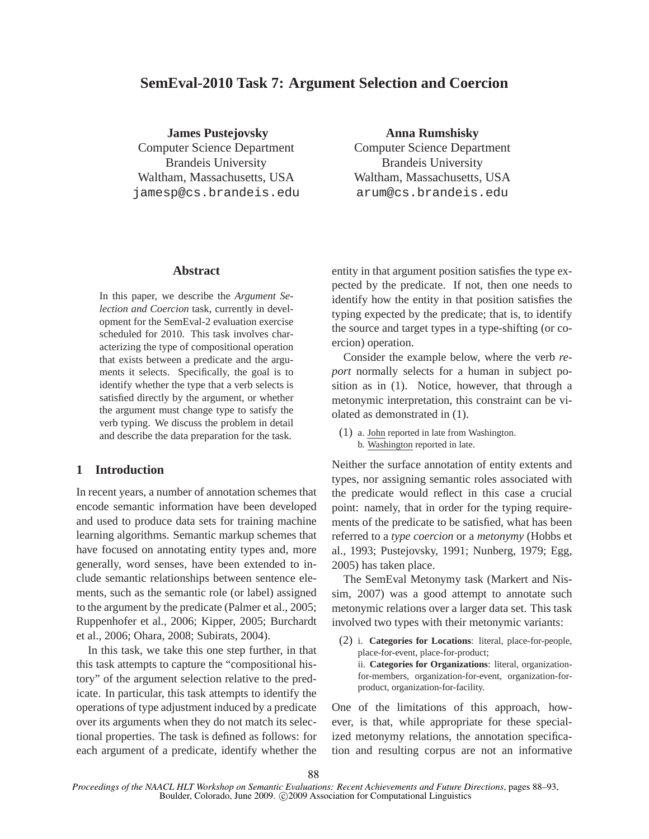# **SemEval-2010 Task 7: Argument Selection and Coercion**

**James Pustejovsky** Computer Science Department Brandeis University Waltham, Massachusetts, USA jamesp@cs.brandeis.edu **Anna Rumshisky**

Computer Science Department Brandeis University Waltham, Massachusetts, USA arum@cs.brandeis.edu

#### **Abstract**

In this paper, we describe the *Argument Selection and Coercion* task, currently in development for the SemEval-2 evaluation exercise scheduled for 2010. This task involves characterizing the type of compositional operation that exists between a predicate and the arguments it selects. Specifically, the goal is to identify whether the type that a verb selects is satisfied directly by the argument, or whether the argument must change type to satisfy the verb typing. We discuss the problem in detail and describe the data preparation for the task.

#### **1 Introduction**

In recent years, a number of annotation schemes that encode semantic information have been developed and used to produce data sets for training machine learning algorithms. Semantic markup schemes that have focused on annotating entity types and, more generally, word senses, have been extended to include semantic relationships between sentence elements, such as the semantic role (or label) assigned to the argument by the predicate (Palmer et al., 2005; Ruppenhofer et al., 2006; Kipper, 2005; Burchardt et al., 2006; Ohara, 2008; Subirats, 2004).

In this task, we take this one step further, in that this task attempts to capture the "compositional history" of the argument selection relative to the predicate. In particular, this task attempts to identify the operations of type adjustment induced by a predicate over its arguments when they do not match its selectional properties. The task is defined as follows: for each argument of a predicate, identify whether the entity in that argument position satisfies the type expected by the predicate. If not, then one needs to identify how the entity in that position satisfies the typing expected by the predicate; that is, to identify the source and target types in a type-shifting (or coercion) operation.

Consider the example below, where the verb *report* normally selects for a human in subject position as in (1). Notice, however, that through a metonymic interpretation, this constraint can be violated as demonstrated in (1).

(1) a. John reported in late from Washington. b. Washington reported in late.

Neither the surface annotation of entity extents and types, nor assigning semantic roles associated with the predicate would reflect in this case a crucial point: namely, that in order for the typing requirements of the predicate to be satisfied, what has been referred to a *type coercion* or a *metonymy* (Hobbs et al., 1993; Pustejovsky, 1991; Nunberg, 1979; Egg, 2005) has taken place.

The SemEval Metonymy task (Markert and Nissim, 2007) was a good attempt to annotate such metonymic relations over a larger data set. This task involved two types with their metonymic variants:

(2) i. **Categories for Locations**: literal, place-for-people, place-for-event, place-for-product; ii. **Categories for Organizations**: literal, organizationfor-members, organization-for-event, organization-forproduct, organization-for-facility.

One of the limitations of this approach, however, is that, while appropriate for these specialized metonymy relations, the annotation specification and resulting corpus are not an informative

*Proceedings of the NAACL HLT Workshop on Semantic Evaluations: Recent Achievements and Future Directions*, pages 88–93, Boulder, Colorado, June 2009. C 2009 Association for Computational Linguistics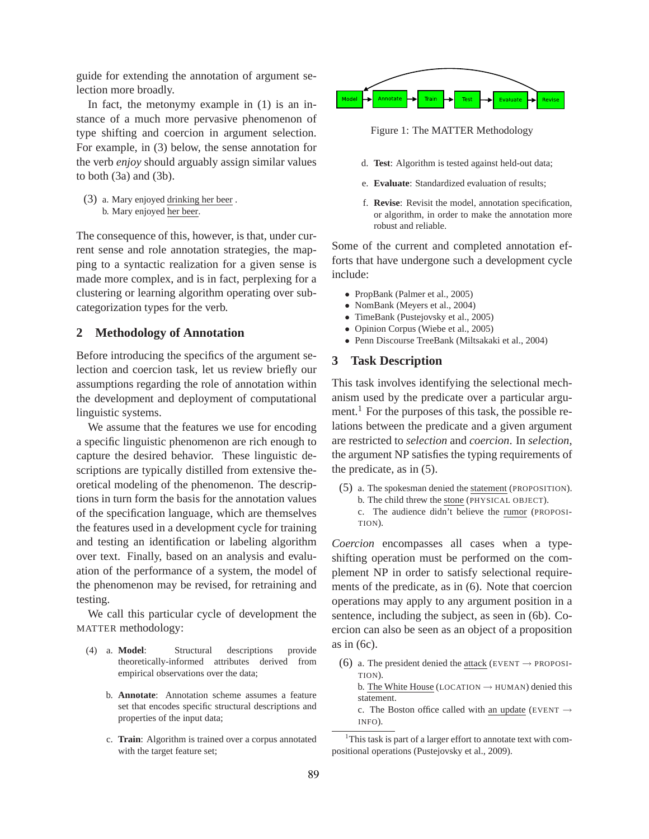guide for extending the annotation of argument selection more broadly.

In fact, the metonymy example in (1) is an instance of a much more pervasive phenomenon of type shifting and coercion in argument selection. For example, in (3) below, the sense annotation for the verb *enjoy* should arguably assign similar values to both  $(3a)$  and  $(3b)$ .

(3) a. Mary enjoyed drinking her beer . b. Mary enjoyed her beer.

The consequence of this, however, is that, under current sense and role annotation strategies, the mapping to a syntactic realization for a given sense is made more complex, and is in fact, perplexing for a clustering or learning algorithm operating over subcategorization types for the verb.

# **2 Methodology of Annotation**

Before introducing the specifics of the argument selection and coercion task, let us review briefly our assumptions regarding the role of annotation within the development and deployment of computational linguistic systems.

We assume that the features we use for encoding a specific linguistic phenomenon are rich enough to capture the desired behavior. These linguistic descriptions are typically distilled from extensive theoretical modeling of the phenomenon. The descriptions in turn form the basis for the annotation values of the specification language, which are themselves the features used in a development cycle for training and testing an identification or labeling algorithm over text. Finally, based on an analysis and evaluation of the performance of a system, the model of the phenomenon may be revised, for retraining and testing.

We call this particular cycle of development the MATTER methodology:

- (4) a. **Model**: Structural descriptions provide theoretically-informed attributes derived from empirical observations over the data;
	- b. **Annotate**: Annotation scheme assumes a feature set that encodes specific structural descriptions and properties of the input data;
	- c. **Train**: Algorithm is trained over a corpus annotated with the target feature set;



Figure 1: The MATTER Methodology

- d. **Test**: Algorithm is tested against held-out data;
- e. **Evaluate**: Standardized evaluation of results;
- f. **Revise**: Revisit the model, annotation specification, or algorithm, in order to make the annotation more robust and reliable.

Some of the current and completed annotation efforts that have undergone such a development cycle include:

- PropBank (Palmer et al., 2005)
- NomBank (Meyers et al., 2004)
- TimeBank (Pustejovsky et al., 2005)
- Opinion Corpus (Wiebe et al., 2005)
- Penn Discourse TreeBank (Miltsakaki et al., 2004)

## **3 Task Description**

This task involves identifying the selectional mechanism used by the predicate over a particular argument.<sup>1</sup> For the purposes of this task, the possible relations between the predicate and a given argument are restricted to *selection* and *coercion*. In *selection*, the argument NP satisfies the typing requirements of the predicate, as in (5).

(5) a. The spokesman denied the statement (PROPOSITION). b. The child threw the stone (PHYSICAL OBJECT). c. The audience didn't believe the rumor (PROPOSI-TION).

*Coercion* encompasses all cases when a typeshifting operation must be performed on the complement NP in order to satisfy selectional requirements of the predicate, as in (6). Note that coercion operations may apply to any argument position in a sentence, including the subject, as seen in (6b). Coercion can also be seen as an object of a proposition as in (6c).

(6) a. The president denied the attack (EVENT  $\rightarrow$  PROPOSI-TION). b. The White House (LOCATION  $\rightarrow$  HUMAN) denied this

statement.

c. The Boston office called with an update (EVENT  $\rightarrow$ INFO).

<sup>&</sup>lt;sup>1</sup>This task is part of a larger effort to annotate text with compositional operations (Pustejovsky et al., 2009).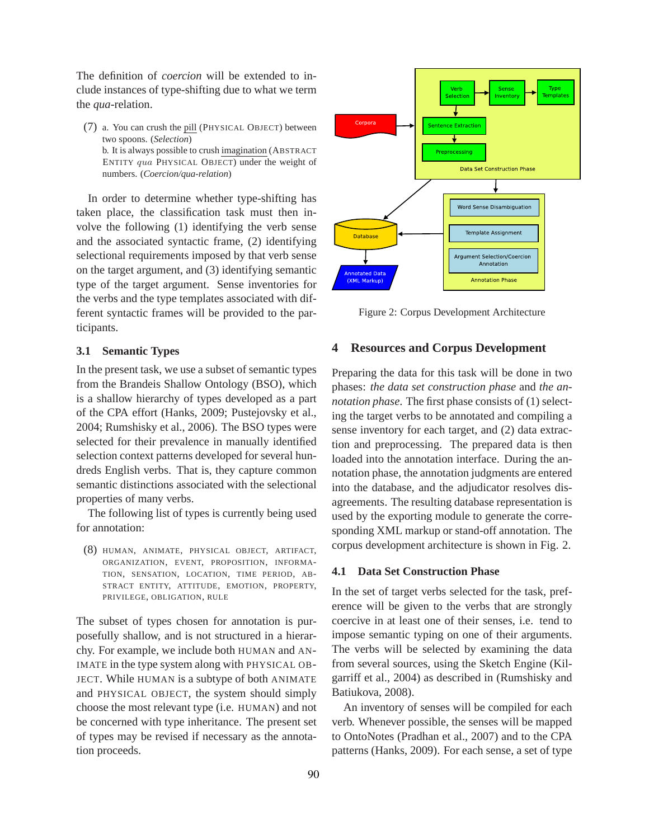The definition of *coercion* will be extended to include instances of type-shifting due to what we term the *qua*-relation.

(7) a. You can crush the pill (PHYSICAL OBJECT) between two spoons. (*Selection*) b. It is always possible to crush imagination (ABSTRACT ENTITY qua PHYSICAL OBJECT) under the weight of numbers. (*Coercion/qua-relation*)

In order to determine whether type-shifting has taken place, the classification task must then involve the following (1) identifying the verb sense and the associated syntactic frame, (2) identifying selectional requirements imposed by that verb sense on the target argument, and (3) identifying semantic type of the target argument. Sense inventories for the verbs and the type templates associated with different syntactic frames will be provided to the participants.

#### **3.1 Semantic Types**

In the present task, we use a subset of semantic types from the Brandeis Shallow Ontology (BSO), which is a shallow hierarchy of types developed as a part of the CPA effort (Hanks, 2009; Pustejovsky et al., 2004; Rumshisky et al., 2006). The BSO types were selected for their prevalence in manually identified selection context patterns developed for several hundreds English verbs. That is, they capture common semantic distinctions associated with the selectional properties of many verbs.

The following list of types is currently being used for annotation:

(8) HUMAN, ANIMATE, PHYSICAL OBJECT, ARTIFACT, ORGANIZATION, EVENT, PROPOSITION, INFORMA-TION, SENSATION, LOCATION, TIME PERIOD, AB-STRACT ENTITY, ATTITUDE, EMOTION, PROPERTY, PRIVILEGE, OBLIGATION, RULE

The subset of types chosen for annotation is purposefully shallow, and is not structured in a hierarchy. For example, we include both HUMAN and AN-IMATE in the type system along with PHYSICAL OB-JECT. While HUMAN is a subtype of both ANIMATE and PHYSICAL OBJECT, the system should simply choose the most relevant type (i.e. HUMAN) and not be concerned with type inheritance. The present set of types may be revised if necessary as the annotation proceeds.



Figure 2: Corpus Development Architecture

#### **4 Resources and Corpus Development**

Preparing the data for this task will be done in two phases: *the data set construction phase* and *the annotation phase*. The first phase consists of (1) selecting the target verbs to be annotated and compiling a sense inventory for each target, and (2) data extraction and preprocessing. The prepared data is then loaded into the annotation interface. During the annotation phase, the annotation judgments are entered into the database, and the adjudicator resolves disagreements. The resulting database representation is used by the exporting module to generate the corresponding XML markup or stand-off annotation. The corpus development architecture is shown in Fig. 2.

#### **4.1 Data Set Construction Phase**

In the set of target verbs selected for the task, preference will be given to the verbs that are strongly coercive in at least one of their senses, i.e. tend to impose semantic typing on one of their arguments. The verbs will be selected by examining the data from several sources, using the Sketch Engine (Kilgarriff et al., 2004) as described in (Rumshisky and Batiukova, 2008).

An inventory of senses will be compiled for each verb. Whenever possible, the senses will be mapped to OntoNotes (Pradhan et al., 2007) and to the CPA patterns (Hanks, 2009). For each sense, a set of type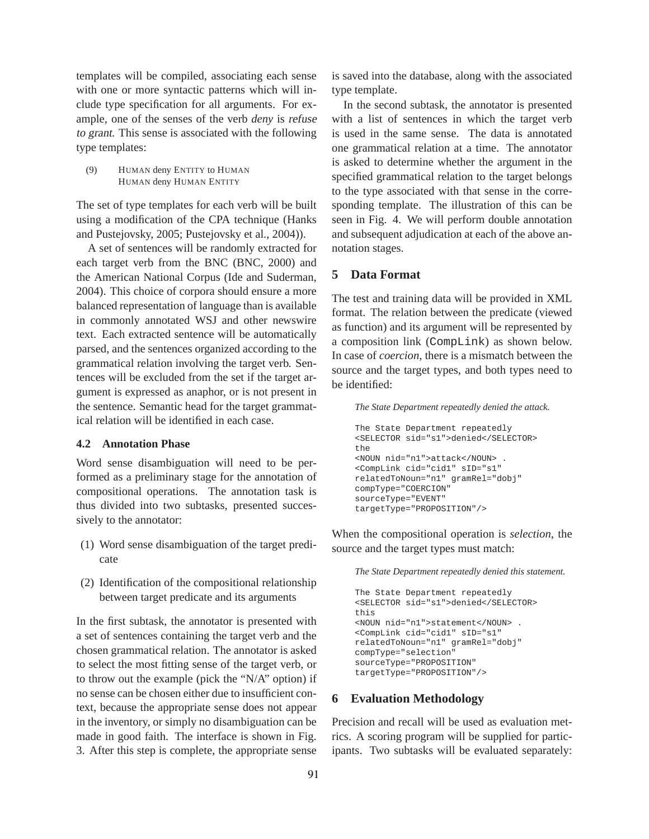templates will be compiled, associating each sense with one or more syntactic patterns which will include type specification for all arguments. For example, one of the senses of the verb *deny* is refuse to grant. This sense is associated with the following type templates:

(9) HUMAN deny ENTITY to HUMAN HUMAN deny HUMAN ENTITY

The set of type templates for each verb will be built using a modification of the CPA technique (Hanks and Pustejovsky, 2005; Pustejovsky et al., 2004)).

A set of sentences will be randomly extracted for each target verb from the BNC (BNC, 2000) and the American National Corpus (Ide and Suderman, 2004). This choice of corpora should ensure a more balanced representation of language than is available in commonly annotated WSJ and other newswire text. Each extracted sentence will be automatically parsed, and the sentences organized according to the grammatical relation involving the target verb. Sentences will be excluded from the set if the target argument is expressed as anaphor, or is not present in the sentence. Semantic head for the target grammatical relation will be identified in each case.

#### **4.2 Annotation Phase**

Word sense disambiguation will need to be performed as a preliminary stage for the annotation of compositional operations. The annotation task is thus divided into two subtasks, presented successively to the annotator:

- (1) Word sense disambiguation of the target predicate
- (2) Identification of the compositional relationship between target predicate and its arguments

In the first subtask, the annotator is presented with a set of sentences containing the target verb and the chosen grammatical relation. The annotator is asked to select the most fitting sense of the target verb, or to throw out the example (pick the "N/A" option) if no sense can be chosen either due to insufficient context, because the appropriate sense does not appear in the inventory, or simply no disambiguation can be made in good faith. The interface is shown in Fig. 3. After this step is complete, the appropriate sense is saved into the database, along with the associated type template.

In the second subtask, the annotator is presented with a list of sentences in which the target verb is used in the same sense. The data is annotated one grammatical relation at a time. The annotator is asked to determine whether the argument in the specified grammatical relation to the target belongs to the type associated with that sense in the corresponding template. The illustration of this can be seen in Fig. 4. We will perform double annotation and subsequent adjudication at each of the above annotation stages.

# **5 Data Format**

The test and training data will be provided in XML format. The relation between the predicate (viewed as function) and its argument will be represented by a composition link (CompLink) as shown below. In case of *coercion*, there is a mismatch between the source and the target types, and both types need to be identified:

*The State Department repeatedly denied the attack.*

```
The State Department repeatedly
<SELECTOR sid="s1">denied</SELECTOR>
the
<NOUN nid="n1">attack</NOUN> .
<CompLink cid="cid1" sID="s1"
relatedToNoun="n1" gramRel="dobj"
compType="COERCION"
sourceType="EVENT"
targetType="PROPOSITION"/>
```
When the compositional operation is *selection*, the source and the target types must match:

*The State Department repeatedly denied this statement.*

```
The State Department repeatedly
<SELECTOR sid="s1">denied</SELECTOR>
this
<NOUN nid="n1">statement</NOUN> .
<CompLink cid="cid1" sID="s1"
relatedToNoun="n1" gramRel="dobj"
compType="selection"
sourceType="PROPOSITION"
targetType="PROPOSITION"/>
```
## **6 Evaluation Methodology**

Precision and recall will be used as evaluation metrics. A scoring program will be supplied for participants. Two subtasks will be evaluated separately: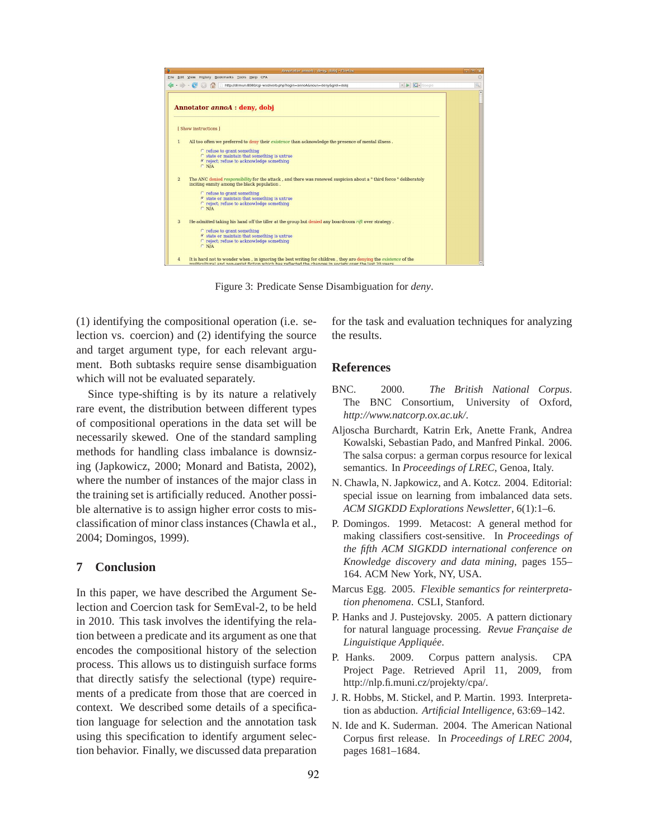

Figure 3: Predicate Sense Disambiguation for *deny*.

(1) identifying the compositional operation (i.e. selection vs. coercion) and (2) identifying the source and target argument type, for each relevant argument. Both subtasks require sense disambiguation which will not be evaluated separately.

Since type-shifting is by its nature a relatively rare event, the distribution between different types of compositional operations in the data set will be necessarily skewed. One of the standard sampling methods for handling class imbalance is downsizing (Japkowicz, 2000; Monard and Batista, 2002), where the number of instances of the major class in the training set is artificially reduced. Another possible alternative is to assign higher error costs to misclassification of minor class instances (Chawla et al., 2004; Domingos, 1999).

# **7 Conclusion**

In this paper, we have described the Argument Selection and Coercion task for SemEval-2, to be held in 2010. This task involves the identifying the relation between a predicate and its argument as one that encodes the compositional history of the selection process. This allows us to distinguish surface forms that directly satisfy the selectional (type) requirements of a predicate from those that are coerced in context. We described some details of a specification language for selection and the annotation task using this specification to identify argument selection behavior. Finally, we discussed data preparation for the task and evaluation techniques for analyzing the results.

#### **References**

- BNC. 2000. *The British National Corpus*. The BNC Consortium, University of Oxford, *http://www.natcorp.ox.ac.uk/*.
- Aljoscha Burchardt, Katrin Erk, Anette Frank, Andrea Kowalski, Sebastian Pado, and Manfred Pinkal. 2006. The salsa corpus: a german corpus resource for lexical semantics. In *Proceedings of LREC*, Genoa, Italy.
- N. Chawla, N. Japkowicz, and A. Kotcz. 2004. Editorial: special issue on learning from imbalanced data sets. *ACM SIGKDD Explorations Newsletter*, 6(1):1–6.
- P. Domingos. 1999. Metacost: A general method for making classifiers cost-sensitive. In *Proceedings of the fifth ACM SIGKDD international conference on Knowledge discovery and data mining*, pages 155– 164. ACM New York, NY, USA.
- Marcus Egg. 2005. *Flexible semantics for reinterpretation phenomena*. CSLI, Stanford.
- P. Hanks and J. Pustejovsky. 2005. A pattern dictionary for natural language processing. Revue Française de *Linguistique Appliquee´* .
- P. Hanks. 2009. Corpus pattern analysis. CPA Project Page. Retrieved April 11, 2009, from http://nlp.fi.muni.cz/projekty/cpa/.
- J. R. Hobbs, M. Stickel, and P. Martin. 1993. Interpretation as abduction. *Artificial Intelligence*, 63:69–142.
- N. Ide and K. Suderman. 2004. The American National Corpus first release. In *Proceedings of LREC 2004*, pages 1681–1684.